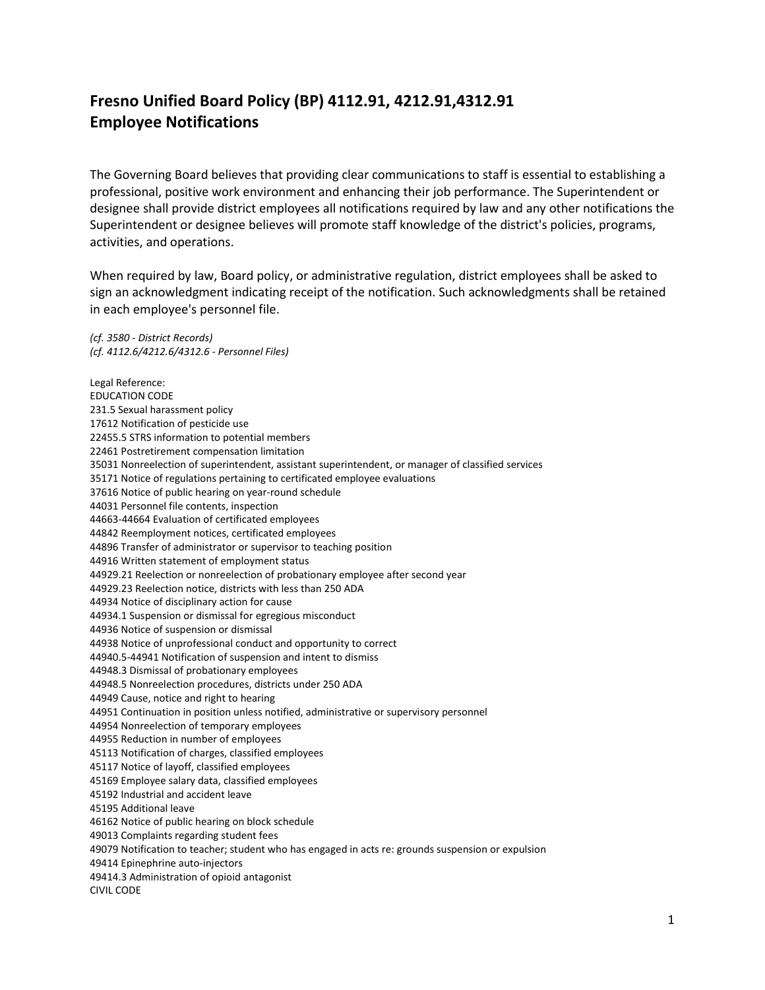## **Fresno Unified Board Policy (BP) 4112.91, 4212.91,4312.91 Employee Notifications**

The Governing Board believes that providing clear communications to staff is essential to establishing a professional, positive work environment and enhancing their job performance. The Superintendent or designee shall provide district employees all notifications required by law and any other notifications the Superintendent or designee believes will promote staff knowledge of the district's policies, programs, activities, and operations.

When required by law, Board policy, or administrative regulation, district employees shall be asked to sign an acknowledgment indicating receipt of the notification. Such acknowledgments shall be retained in each employee's personnel file.

*(cf. [3580](http://www.gamutonline.net/displayPolicy/1049427/4) - District Records) (cf. [4112.6/](http://www.gamutonline.net/displayPolicy/234061/4)[4212.6](http://www.gamutonline.net/displayPolicy/234062/4)[/4312.6](http://www.gamutonline.net/displayPolicy/234063/4) - Personnel Files)*

Legal Reference: EDUCATION CODE [231.5](http://www.gamutonline.net/displayPolicy/138760/4) Sexual harassment policy Notification of pesticide use [22455.5](http://www.gamutonline.net/displayPolicy/136038/4) STRS information to potential members Postretirement compensation limitation Nonreelection of superintendent, assistant superintendent, or manager of classified services Notice of regulations pertaining to certificated employee evaluations Notice of public hearing on year-round schedule Personnel file contents, inspection [-44664](http://www.gamutonline.net/displayPolicy/138842/4) Evaluation of certificated employees Reemployment notices, certificated employees Transfer of administrator or supervisor to teaching position Written statement of employment status [44929.21](http://www.gamutonline.net/displayPolicy/131024/4) Reelection or nonreelection of probationary employee after second year [44929.23](http://www.gamutonline.net/displayPolicy/131026/4) Reelection notice, districts with less than 250 ADA Notice of disciplinary action for cause [44934.1](http://www.gamutonline.net/displayPolicy/935372/4) Suspension or dismissal for egregious misconduct Notice of suspension or dismissal Notice of unprofessional conduct and opportunity to correct [44940.5](http://www.gamutonline.net/displayPolicy/131043/4)[-44941](http://www.gamutonline.net/displayPolicy/131044/4) Notification of suspension and intent to dismiss [44948.3](http://www.gamutonline.net/displayPolicy/131053/4) Dismissal of probationary employees [44948.5](http://www.gamutonline.net/displayPolicy/131054/4) Nonreelection procedures, districts under 250 ADA Cause, notice and right to hearing Continuation in position unless notified, administrative or supervisory personnel Nonreelection of temporary employees Reduction in number of employees Notification of charges, classified employees Notice of layoff, classified employees Employee salary data, classified employees Industrial and accident leave Additional leave Notice of public hearing on block schedule Complaints regarding student fees Notification to teacher; student who has engaged in acts re: grounds suspension or expulsion Epinephrine auto-injectors [49414.3](http://www.gamutonline.net/displayPolicy/1070229/4) Administration of opioid antagonist CIVIL CODE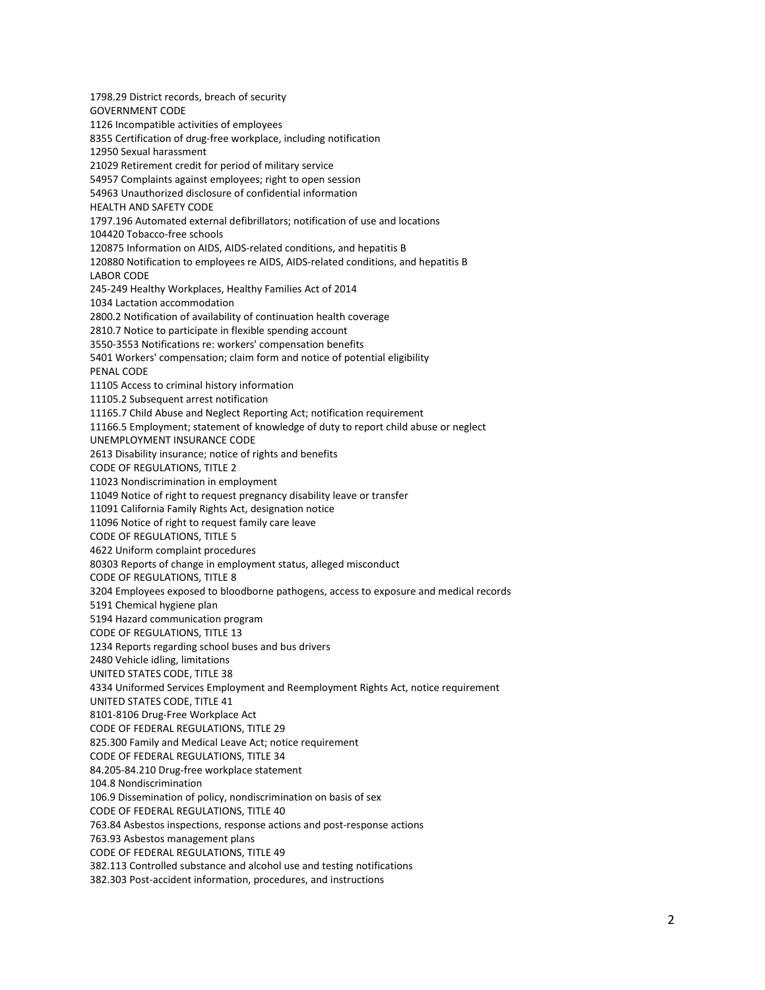[1798.29](http://www.gamutonline.net/displayPolicy/369627/4) District records, breach of security GOVERNMENT CODE [1126](http://www.gamutonline.net/displayPolicy/144375/4) Incompatible activities of employees [8355](http://www.gamutonline.net/displayPolicy/144532/4) Certification of drug-free workplace, including notification [12950](http://www.gamutonline.net/displayPolicy/146414/4) Sexual harassment [21029](http://www.gamutonline.net/displayPolicy/1070241/4) Retirement credit for period of military service [54957](http://www.gamutonline.net/displayPolicy/145087/4) Complaints against employees; right to open session [54963](http://www.gamutonline.net/displayPolicy/288575/4) Unauthorized disclosure of confidential information HEALTH AND SAFETY CODE [1797.196](http://www.gamutonline.net/displayPolicy/369680/4) Automated external defibrillators; notification of use and locations [104420](http://www.gamutonline.net/displayPolicy/150402/4) Tobacco-free schools [120875](http://www.gamutonline.net/displayPolicy/149806/4) Information on AIDS, AIDS-related conditions, and hepatitis B [120880](http://www.gamutonline.net/displayPolicy/149807/4) Notification to employees re AIDS, AIDS-related conditions, and hepatitis B LABOR CODE [245](http://www.gamutonline.net/displayPolicy/971051/4)[-249](http://www.gamutonline.net/displayPolicy/971058/4) Healthy Workplaces, Healthy Families Act of 2014 1034 Lactation accommodation [2800.2](http://www.gamutonline.net/displayPolicy/395600/4) Notification of availability of continuation health coverage 2810.7 Notice to participate in flexible spending account [3550](http://www.gamutonline.net/displayPolicy/156244/4)[-3553](http://www.gamutonline.net/displayPolicy/274011/4) Notifications re: workers' compensation benefits [5401](http://www.gamutonline.net/displayPolicy/156733/4) Workers' compensation; claim form and notice of potential eligibility PENAL CODE [11105](http://www.gamutonline.net/displayPolicy/226534/4) Access to criminal history information [11105.2](http://www.gamutonline.net/displayPolicy/169714/4) Subsequent arrest notification [11165.7](http://www.gamutonline.net/displayPolicy/169487/4) Child Abuse and Neglect Reporting Act; notification requirement [11166.5](http://www.gamutonline.net/displayPolicy/169568/4) Employment; statement of knowledge of duty to report child abuse or neglect UNEMPLOYMENT INSURANCE CODE [2613](http://www.gamutonline.net/displayPolicy/369748/4) Disability insurance; notice of rights and benefits CODE OF REGULATIONS, TITLE 2 [11023](http://www.gamutonline.net/displayPolicy/980009/4) Nondiscrimination in employment [11049](http://www.gamutonline.net/displayPolicy/980023/4) Notice of right to request pregnancy disability leave or transfer [11091](http://www.gamutonline.net/displayPolicy/980029/4) California Family Rights Act, designation notice [11096](http://www.gamutonline.net/displayPolicy/980033/4) Notice of right to request family care leave CODE OF REGULATIONS, TITLE 5 [4622](http://www.gamutonline.net/displayPolicy/187025/4) Uniform complaint procedures [80303](http://www.gamutonline.net/displayPolicy/189546/4) Reports of change in employment status, alleged misconduct CODE OF REGULATIONS, TITLE 8 [3204](http://www.gamutonline.net/displayPolicy/368012/4) Employees exposed to bloodborne pathogens, access to exposure and medical records [5191](http://www.gamutonline.net/displayPolicy/911169/4) Chemical hygiene plan [5194](http://www.gamutonline.net/displayPolicy/296044/4) Hazard communication program CODE OF REGULATIONS, TITLE 13 [1234](http://www.gamutonline.net/displayPolicy/368253/4) Reports regarding school buses and bus drivers [2480](http://www.gamutonline.net/displayPolicy/821226/4) Vehicle idling, limitations UNITED STATES CODE, TITLE 38 4334 Uniformed Services Employment and Reemployment Rights Act, notice requirement UNITED STATES CODE, TITLE 41 8101-8106 Drug-Free Workplace Act CODE OF FEDERAL REGULATIONS, TITLE 29 [825.300](http://www.gamutonline.net/displayPolicy/622181/4) Family and Medical Leave Act; notice requirement CODE OF FEDERAL REGULATIONS, TITLE 34 84.205-84.210 Drug-free workplace statement [104.8](http://www.gamutonline.net/displayPolicy/274448/4) Nondiscrimination [106.9](http://www.gamutonline.net/displayPolicy/274453/4) Dissemination of policy, nondiscrimination on basis of sex CODE OF FEDERAL REGULATIONS, TITLE 40 [763.84](http://www.gamutonline.net/displayPolicy/191730/4) Asbestos inspections, response actions and post-response actions [763.93](http://www.gamutonline.net/displayPolicy/191738/4) Asbestos management plans CODE OF FEDERAL REGULATIONS, TITLE 49 [382.113](http://www.gamutonline.net/displayPolicy/192101/4) Controlled substance and alcohol use and testing notifications

[382.303](http://www.gamutonline.net/displayPolicy/192111/4) Post-accident information, procedures, and instructions